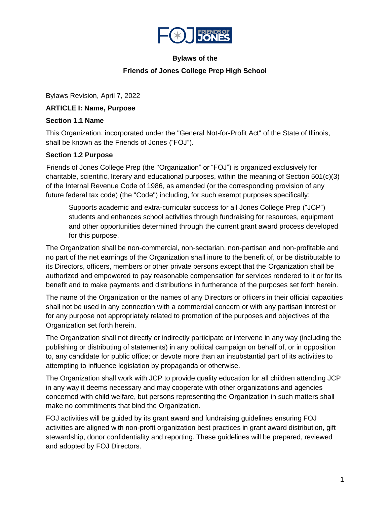

# **Bylaws of the Friends of Jones College Prep High School**

Bylaws Revision, April 7, 2022

### **ARTICLE I: Name, Purpose**

#### **Section 1.1 Name**

This Organization, incorporated under the "General Not-for-Profit Act" of the State of Illinois, shall be known as the Friends of Jones ("FOJ").

### **Section 1.2 Purpose**

Friends of Jones College Prep (the "Organization" or "FOJ") is organized exclusively for charitable, scientific, literary and educational purposes, within the meaning of Section 501(c)(3) of the Internal Revenue Code of 1986, as amended (or the corresponding provision of any future federal tax code) (the "Code") including, for such exempt purposes specifically:

Supports academic and extra-curricular success for all Jones College Prep ("JCP") students and enhances school activities through fundraising for resources, equipment and other opportunities determined through the current grant award process developed for this purpose.

The Organization shall be non-commercial, non-sectarian, non-partisan and non-profitable and no part of the net earnings of the Organization shall inure to the benefit of, or be distributable to its Directors, officers, members or other private persons except that the Organization shall be authorized and empowered to pay reasonable compensation for services rendered to it or for its benefit and to make payments and distributions in furtherance of the purposes set forth herein.

The name of the Organization or the names of any Directors or officers in their official capacities shall not be used in any connection with a commercial concern or with any partisan interest or for any purpose not appropriately related to promotion of the purposes and objectives of the Organization set forth herein.

The Organization shall not directly or indirectly participate or intervene in any way (including the publishing or distributing of statements) in any political campaign on behalf of, or in opposition to, any candidate for public office; or devote more than an insubstantial part of its activities to attempting to influence legislation by propaganda or otherwise.

The Organization shall work with JCP to provide quality education for all children attending JCP in any way it deems necessary and may cooperate with other organizations and agencies concerned with child welfare, but persons representing the Organization in such matters shall make no commitments that bind the Organization.

FOJ activities will be guided by its grant award and fundraising guidelines ensuring FOJ activities are aligned with non-profit organization best practices in grant award distribution, gift stewardship, donor confidentiality and reporting. These guidelines will be prepared, reviewed and adopted by FOJ Directors.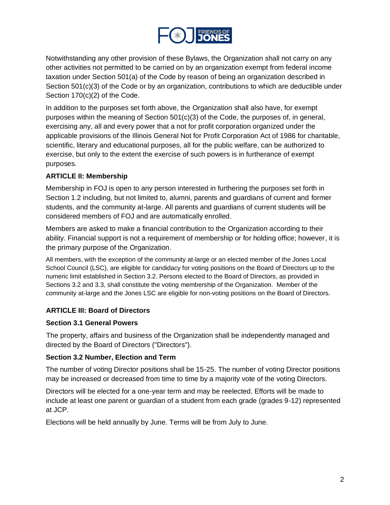

Notwithstanding any other provision of these Bylaws, the Organization shall not carry on any other activities not permitted to be carried on by an organization exempt from federal income taxation under Section 501(a) of the Code by reason of being an organization described in Section 501(c)(3) of the Code or by an organization, contributions to which are deductible under Section 170(c)(2) of the Code.

In addition to the purposes set forth above, the Organization shall also have, for exempt purposes within the meaning of Section 501(c)(3) of the Code, the purposes of, in general, exercising any, all and every power that a not for profit corporation organized under the applicable provisions of the Illinois General Not for Profit Corporation Act of 1986 for charitable, scientific, literary and educational purposes, all for the public welfare, can be authorized to exercise, but only to the extent the exercise of such powers is in furtherance of exempt purposes.

#### **ARTICLE II: Membership**

Membership in FOJ is open to any person interested in furthering the purposes set forth in Section 1.2 including, but not limited to, alumni, parents and guardians of current and former students, and the community at-large. All parents and guardians of current students will be considered members of FOJ and are automatically enrolled.

Members are asked to make a financial contribution to the Organization according to their ability. Financial support is not a requirement of membership or for holding office; however, it is the primary purpose of the Organization.

All members, with the exception of the community at-large or an elected member of the Jones Local School Council (LSC), are eligible for candidacy for voting positions on the Board of Directors up to the numeric limit established in Section 3.2. Persons elected to the Board of Directors, as provided in Sections 3.2 and 3.3, shall constitute the voting membership of the Organization. Member of the community at-large and the Jones LSC are eligible for non-voting positions on the Board of Directors**.**

### **ARTICLE III: Board of Directors**

#### **Section 3.1 General Powers**

The property, affairs and business of the Organization shall be independently managed and directed by the Board of Directors ("Directors").

#### **Section 3.2 Number, Election and Term**

The number of voting Director positions shall be 15-25. The number of voting Director positions may be increased or decreased from time to time by a majority vote of the voting Directors.

Directors will be elected for a one-year term and may be reelected. Efforts will be made to include at least one parent or guardian of a student from each grade (grades 9-12) represented at JCP.

Elections will be held annually by June. Terms will be from July to June.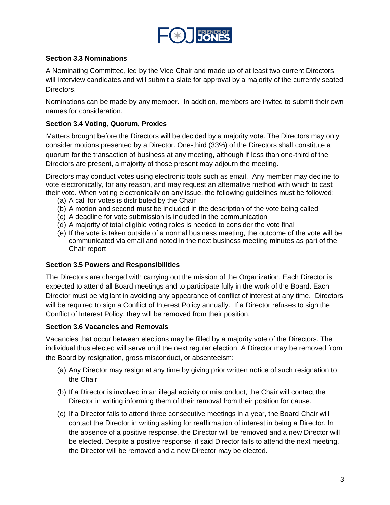

### **Section 3.3 Nominations**

A Nominating Committee, led by the Vice Chair and made up of at least two current Directors will interview candidates and will submit a slate for approval by a majority of the currently seated Directors.

Nominations can be made by any member. In addition, members are invited to submit their own names for consideration.

#### **Section 3.4 Voting, Quorum, Proxies**

Matters brought before the Directors will be decided by a majority vote. The Directors may only consider motions presented by a Director. One-third (33%) of the Directors shall constitute a quorum for the transaction of business at any meeting, although if less than one-third of the Directors are present, a majority of those present may adjourn the meeting.

Directors may conduct votes using electronic tools such as email. Any member may decline to vote electronically, for any reason, and may request an alternative method with which to cast their vote. When voting electronically on any issue, the following guidelines must be followed:

- (a) A call for votes is distributed by the Chair
- (b) A motion and second must be included in the description of the vote being called
- (c) A deadline for vote submission is included in the communication
- (d) A majority of total eligible voting roles is needed to consider the vote final
- (e) If the vote is taken outside of a normal business meeting, the outcome of the vote will be communicated via email and noted in the next business meeting minutes as part of the Chair report

#### **Section 3.5 Powers and Responsibilities**

The Directors are charged with carrying out the mission of the Organization. Each Director is expected to attend all Board meetings and to participate fully in the work of the Board. Each Director must be vigilant in avoiding any appearance of conflict of interest at any time. Directors will be required to sign a Conflict of Interest Policy annually. If a Director refuses to sign the Conflict of Interest Policy, they will be removed from their position.

#### **Section 3.6 Vacancies and Removals**

Vacancies that occur between elections may be filled by a majority vote of the Directors. The individual thus elected will serve until the next regular election. A Director may be removed from the Board by resignation, gross misconduct, or absenteeism:

- (a) Any Director may resign at any time by giving prior written notice of such resignation to the Chair
- (b) If a Director is involved in an illegal activity or misconduct, the Chair will contact the Director in writing informing them of their removal from their position for cause.
- (c) If a Director fails to attend three consecutive meetings in a year, the Board Chair will contact the Director in writing asking for reaffirmation of interest in being a Director. In the absence of a positive response, the Director will be removed and a new Director will be elected. Despite a positive response, if said Director fails to attend the next meeting, the Director will be removed and a new Director may be elected.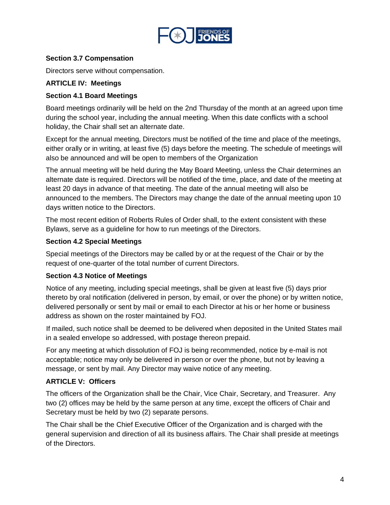

# **Section 3.7 Compensation**

Directors serve without compensation.

### **ARTICLE IV: Meetings**

## **Section 4.1 Board Meetings**

Board meetings ordinarily will be held on the 2nd Thursday of the month at an agreed upon time during the school year, including the annual meeting. When this date conflicts with a school holiday, the Chair shall set an alternate date.

Except for the annual meeting, Directors must be notified of the time and place of the meetings, either orally or in writing, at least five (5) days before the meeting. The schedule of meetings will also be announced and will be open to members of the Organization

The annual meeting will be held during the May Board Meeting, unless the Chair determines an alternate date is required. Directors will be notified of the time, place, and date of the meeting at least 20 days in advance of that meeting. The date of the annual meeting will also be announced to the members. The Directors may change the date of the annual meeting upon 10 days written notice to the Directors.

The most recent edition of Roberts Rules of Order shall, to the extent consistent with these Bylaws, serve as a guideline for how to run meetings of the Directors.

### **Section 4.2 Special Meetings**

Special meetings of the Directors may be called by or at the request of the Chair or by the request of one-quarter of the total number of current Directors.

### **Section 4.3 Notice of Meetings**

Notice of any meeting, including special meetings, shall be given at least five (5) days prior thereto by oral notification (delivered in person, by email, or over the phone) or by written notice, delivered personally or sent by mail or email to each Director at his or her home or business address as shown on the roster maintained by FOJ.

If mailed, such notice shall be deemed to be delivered when deposited in the United States mail in a sealed envelope so addressed, with postage thereon prepaid.

For any meeting at which dissolution of FOJ is being recommended, notice by e-mail is not acceptable; notice may only be delivered in person or over the phone, but not by leaving a message, or sent by mail. Any Director may waive notice of any meeting.

# **ARTICLE V: Officers**

The officers of the Organization shall be the Chair, Vice Chair, Secretary, and Treasurer. Any two (2) offices may be held by the same person at any time, except the officers of Chair and Secretary must be held by two (2) separate persons.

The Chair shall be the Chief Executive Officer of the Organization and is charged with the general supervision and direction of all its business affairs. The Chair shall preside at meetings of the Directors.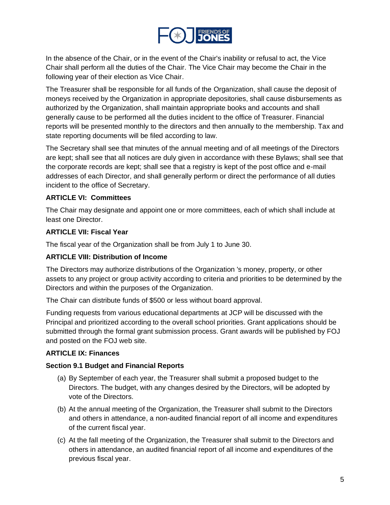

In the absence of the Chair, or in the event of the Chair's inability or refusal to act, the Vice Chair shall perform all the duties of the Chair. The Vice Chair may become the Chair in the following year of their election as Vice Chair.

The Treasurer shall be responsible for all funds of the Organization, shall cause the deposit of moneys received by the Organization in appropriate depositories, shall cause disbursements as authorized by the Organization, shall maintain appropriate books and accounts and shall generally cause to be performed all the duties incident to the office of Treasurer. Financial reports will be presented monthly to the directors and then annually to the membership. Tax and state reporting documents will be filed according to law.

The Secretary shall see that minutes of the annual meeting and of all meetings of the Directors are kept; shall see that all notices are duly given in accordance with these Bylaws; shall see that the corporate records are kept; shall see that a registry is kept of the post office and e-mail addresses of each Director, and shall generally perform or direct the performance of all duties incident to the office of Secretary.

### **ARTICLE VI: Committees**

The Chair may designate and appoint one or more committees, each of which shall include at least one Director.

#### **ARTICLE VII: Fiscal Year**

The fiscal year of the Organization shall be from July 1 to June 30.

#### **ARTICLE VIII: Distribution of Income**

The Directors may authorize distributions of the Organization 's money, property, or other assets to any project or group activity according to criteria and priorities to be determined by the Directors and within the purposes of the Organization.

The Chair can distribute funds of \$500 or less without board approval.

Funding requests from various educational departments at JCP will be discussed with the Principal and prioritized according to the overall school priorities. Grant applications should be submitted through the formal grant submission process. Grant awards will be published by FOJ and posted on the FOJ web site.

#### **ARTICLE IX: Finances**

#### **Section 9.1 Budget and Financial Reports**

- (a) By September of each year, the Treasurer shall submit a proposed budget to the Directors. The budget, with any changes desired by the Directors, will be adopted by vote of the Directors.
- (b) At the annual meeting of the Organization, the Treasurer shall submit to the Directors and others in attendance, a non-audited financial report of all income and expenditures of the current fiscal year.
- (c) At the fall meeting of the Organization, the Treasurer shall submit to the Directors and others in attendance, an audited financial report of all income and expenditures of the previous fiscal year.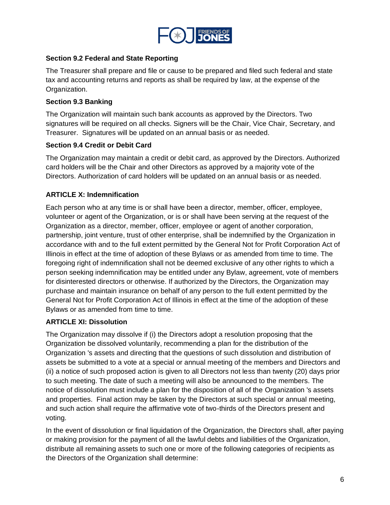

## **Section 9.2 Federal and State Reporting**

The Treasurer shall prepare and file or cause to be prepared and filed such federal and state tax and accounting returns and reports as shall be required by law, at the expense of the Organization.

### **Section 9.3 Banking**

The Organization will maintain such bank accounts as approved by the Directors. Two signatures will be required on all checks. Signers will be the Chair, Vice Chair, Secretary, and Treasurer. Signatures will be updated on an annual basis or as needed.

#### **Section 9.4 Credit or Debit Card**

The Organization may maintain a credit or debit card, as approved by the Directors. Authorized card holders will be the Chair and other Directors as approved by a majority vote of the Directors. Authorization of card holders will be updated on an annual basis or as needed.

### **ARTICLE X: Indemnification**

Each person who at any time is or shall have been a director, member, officer, employee, volunteer or agent of the Organization, or is or shall have been serving at the request of the Organization as a director, member, officer, employee or agent of another corporation, partnership, joint venture, trust of other enterprise, shall be indemnified by the Organization in accordance with and to the full extent permitted by the General Not for Profit Corporation Act of Illinois in effect at the time of adoption of these Bylaws or as amended from time to time. The foregoing right of indemnification shall not be deemed exclusive of any other rights to which a person seeking indemnification may be entitled under any Bylaw, agreement, vote of members for disinterested directors or otherwise. If authorized by the Directors, the Organization may purchase and maintain insurance on behalf of any person to the full extent permitted by the General Not for Profit Corporation Act of Illinois in effect at the time of the adoption of these Bylaws or as amended from time to time.

### **ARTICLE XI: Dissolution**

The Organization may dissolve if (i) the Directors adopt a resolution proposing that the Organization be dissolved voluntarily, recommending a plan for the distribution of the Organization 's assets and directing that the questions of such dissolution and distribution of assets be submitted to a vote at a special or annual meeting of the members and Directors and (ii) a notice of such proposed action is given to all Directors not less than twenty (20) days prior to such meeting. The date of such a meeting will also be announced to the members. The notice of dissolution must include a plan for the disposition of all of the Organization 's assets and properties. Final action may be taken by the Directors at such special or annual meeting, and such action shall require the affirmative vote of two-thirds of the Directors present and voting.

In the event of dissolution or final liquidation of the Organization, the Directors shall, after paying or making provision for the payment of all the lawful debts and liabilities of the Organization, distribute all remaining assets to such one or more of the following categories of recipients as the Directors of the Organization shall determine: